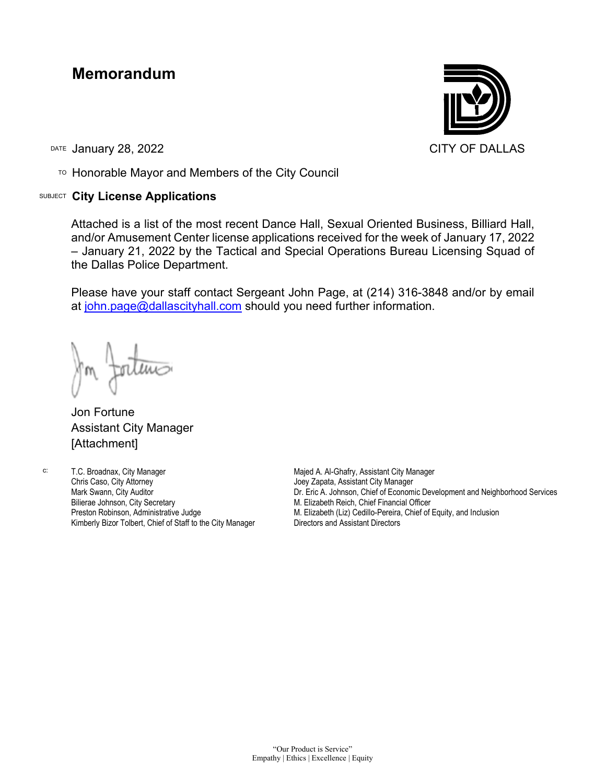## **Memorandum**

DATE January 28, 2022 **CITY OF DALLAS** 

TO Honorable Mayor and Members of the City Council

## SUBJECT **City License Applications**



Attached is a list of the most recent Dance Hall, Sexual Oriented Business, Billiard Hall, and/or Amusement Center license applications received for the week of January 17, 2022 – January 21, 2022 by the Tactical and Special Operations Bureau Licensing Squad of the Dallas Police Department.

Please have your staff contact Sergeant John Page, at (214) 316-3848 and/or by email at [john.page@dallascityhall.com](mailto:john.page@dallascityhall.com) should you need further information.

Jon Fortune Assistant City Manager [Attachment]

c: T.C. Broadnax, City Manager Chris Caso, City Attorney Mark Swann, City Auditor Bilierae Johnson, City Secretary Preston Robinson, Administrative Judge Kimberly Bizor Tolbert, Chief of Staff to the City Manager Majed A. Al-Ghafry, Assistant City Manager Joey Zapata, Assistant City Manager Dr. Eric A. Johnson, Chief of Economic Development and Neighborhood Services M. Elizabeth Reich, Chief Financial Officer M. Elizabeth (Liz) Cedillo-Pereira, Chief of Equity, and Inclusion Directors and Assistant Directors